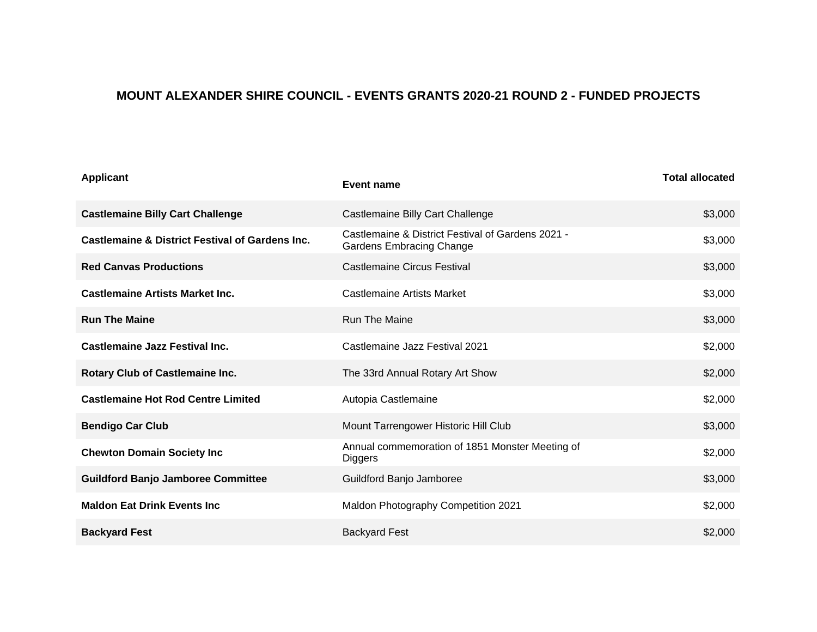## **MOUNT ALEXANDER SHIRE COUNCIL - EVENTS GRANTS 2020-21 ROUND 2 - FUNDED PROJECTS**

| <b>Applicant</b>                                           | Event name                                                                           | <b>Total allocated</b> |
|------------------------------------------------------------|--------------------------------------------------------------------------------------|------------------------|
| <b>Castlemaine Billy Cart Challenge</b>                    | Castlemaine Billy Cart Challenge                                                     | \$3,000                |
| <b>Castlemaine &amp; District Festival of Gardens Inc.</b> | Castlemaine & District Festival of Gardens 2021 -<br><b>Gardens Embracing Change</b> | \$3,000                |
| <b>Red Canvas Productions</b>                              | <b>Castlemaine Circus Festival</b>                                                   | \$3,000                |
| <b>Castlemaine Artists Market Inc.</b>                     | <b>Castlemaine Artists Market</b>                                                    | \$3,000                |
| <b>Run The Maine</b>                                       | <b>Run The Maine</b>                                                                 | \$3,000                |
| <b>Castlemaine Jazz Festival Inc.</b>                      | Castlemaine Jazz Festival 2021                                                       | \$2,000                |
| Rotary Club of Castlemaine Inc.                            | The 33rd Annual Rotary Art Show                                                      | \$2,000                |
| <b>Castlemaine Hot Rod Centre Limited</b>                  | Autopia Castlemaine                                                                  | \$2,000                |
| <b>Bendigo Car Club</b>                                    | Mount Tarrengower Historic Hill Club                                                 | \$3,000                |
| <b>Chewton Domain Society Inc</b>                          | Annual commemoration of 1851 Monster Meeting of<br><b>Diggers</b>                    | \$2,000                |
| <b>Guildford Banjo Jamboree Committee</b>                  | Guildford Banjo Jamboree                                                             | \$3,000                |
| <b>Maldon Eat Drink Events Inc.</b>                        | Maldon Photography Competition 2021                                                  | \$2,000                |
| <b>Backyard Fest</b>                                       | <b>Backyard Fest</b>                                                                 | \$2,000                |